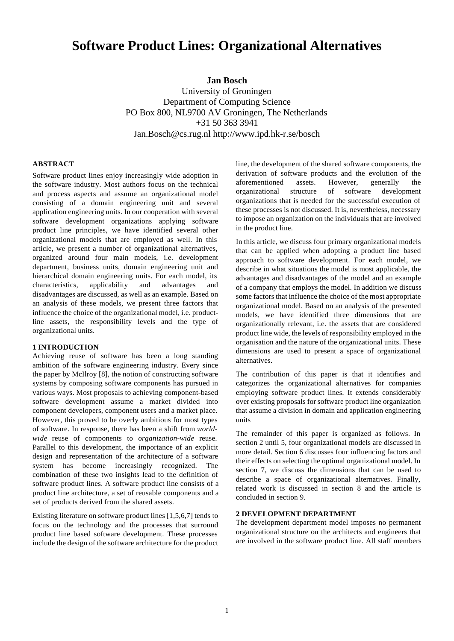# **Software Product Lines: Organizational Alternatives**

**Jan Bosch** University of Groningen Department of Computing Science PO Box 800, NL9700 AV Groningen, The Netherlands +31 50 363 3941 Jan.Bosch@cs.rug.nl http://www.ipd.hk-r.se/bosch

# **ABSTRACT**

Software product lines enjoy increasingly wide adoption in the software industry. Most authors focus on the technical and process aspects and assume an organizational model consisting of a domain engineering unit and several application engineering units. In our cooperation with several software development organizations applying software product line principles, we have identified several other organizational models that are employed as well. In this article, we present a number of organizational alternatives, organized around four main models, i.e. development department, business units, domain engineering unit and hierarchical domain engineering units. For each model, its characteristics, applicability and advantages and disadvantages are discussed, as well as an example. Based on an analysis of these models, we present three factors that influence the choice of the organizational model, i.e. productline assets, the responsibility levels and the type of organizational units.

# **1 INTRODUCTION**

Achieving reuse of software has been a long standing ambition of the software engineering industry. Every since the paper by McIlroy [8], the notion of constructing software systems by composing software components has pursued in various ways. Most proposals to achieving component-based software development assume a market divided into component developers, component users and a market place. However, this proved to be overly ambitious for most types of software. In response, there has been a shift from *worldwide* reuse of components to *organization-wide* reuse. Parallel to this development, the importance of an explicit design and representation of the architecture of a software system has become increasingly recognized. The combination of these two insights lead to the definition of software product lines. A software product line consists of a product line architecture, a set of reusable components and a set of products derived from the shared assets.

Existing literature on software product lines [1,5,6,7] tends to focus on the technology and the processes that surround product line based software development. These processes include the design of the software architecture for the product line, the development of the shared software components, the derivation of software products and the evolution of the aforementioned assets. However, generally the organizational structure of software development organizations that is needed for the successful execution of these processes is not discussed. It is, nevertheless, necessary to impose an organization on the individuals that are involved in the product line.

In this article, we discuss four primary organizational models that can be applied when adopting a product line based approach to software development. For each model, we describe in what situations the model is most applicable, the advantages and disadvantages of the model and an example of a company that employs the model. In addition we discuss some factors that influence the choice of the most appropriate organizational model. Based on an analysis of the presented models, we have identified three dimensions that are organizationally relevant, i.e. the assets that are considered product line wide, the levels of responsibility employed in the organisation and the nature of the organizational units. These dimensions are used to present a space of organizational alternatives.

The contribution of this paper is that it identifies and categorizes the organizational alternatives for companies employing software product lines. It extends considerably over existing proposals for software product line organization that assume a division in domain and application engineering units

The remainder of this paper is organized as follows. In section 2 until 5, four organizational models are discussed in more detail. Section 6 discusses four influencing factors and their effects on selecting the optimal organizational model. In section 7, we discuss the dimensions that can be used to describe a space of organizational alternatives. Finally, related work is discussed in section 8 and the article is concluded in section 9.

# **2 DEVELOPMENT DEPARTMENT**

The development department model imposes no permanent organizational structure on the architects and engineers that are involved in the software product line. All staff members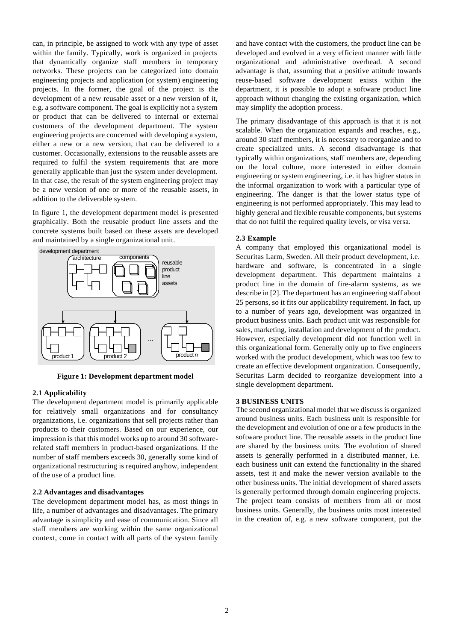can, in principle, be assigned to work with any type of asset within the family. Typically, work is organized in projects that dynamically organize staff members in temporary networks. These projects can be categorized into domain engineering projects and application (or system) engineering projects. In the former, the goal of the project is the development of a new reusable asset or a new version of it, e.g. a software component. The goal is explicitly not a system or product that can be delivered to internal or external customers of the development department. The system engineering projects are concerned with developing a system, either a new or a new version, that can be delivered to a customer. Occasionally, extensions to the reusable assets are required to fulfil the system requirements that are more generally applicable than just the system under development. In that case, the result of the system engineering project may be a new version of one or more of the reusable assets, in addition to the deliverable system.

In figure 1, the development department model is presented graphically. Both the reusable product line assets and the concrete systems built based on these assets are developed and maintained by a single organizational unit.



**Figure 1: Development department model**

## **2.1 Applicability**

The development department model is primarily applicable for relatively small organizations and for consultancy organizations, i.e. organizations that sell projects rather than products to their customers. Based on our experience, our impression is that this model works up to around 30 softwarerelated staff members in product-based organizations. If the number of staff members exceeds 30, generally some kind of organizational restructuring is required anyhow, independent of the use of a product line.

#### **2.2 Advantages and disadvantages**

The development department model has, as most things in life, a number of advantages and disadvantages. The primary advantage is simplicity and ease of communication. Since all staff members are working within the same organizational context, come in contact with all parts of the system family and have contact with the customers, the product line can be developed and evolved in a very efficient manner with little organizational and administrative overhead. A second advantage is that, assuming that a positive attitude towards reuse-based software development exists within the department, it is possible to adopt a software product line approach without changing the existing organization, which may simplify the adoption process.

The primary disadvantage of this approach is that it is not scalable. When the organization expands and reaches, e.g., around 30 staff members, it is necessary to reorganize and to create specialized units. A second disadvantage is that typically within organizations, staff members are, depending on the local culture, more interested in either domain engineering or system engineering, i.e. it has higher status in the informal organization to work with a particular type of engineering. The danger is that the lower status type of engineering is not performed appropriately. This may lead to highly general and flexible reusable components, but systems that do not fulfil the required quality levels, or visa versa.

#### **2.3 Example**

A company that employed this organizational model is Securitas Larm, Sweden. All their product development, i.e. hardware and software, is concentrated in a single development department. This department maintains a product line in the domain of fire-alarm systems, as we describe in [2]. The department has an engineering staff about 25 persons, so it fits our applicability requirement. In fact, up to a number of years ago, development was organized in product business units. Each product unit was responsible for sales, marketing, installation and development of the product. However, especially development did not function well in this organizational form. Generally only up to five engineers worked with the product development, which was too few to create an effective development organization. Consequently, Securitas Larm decided to reorganize development into a single development department.

#### **3 BUSINESS UNITS**

The second organizational model that we discuss is organized around business units. Each business unit is responsible for the development and evolution of one or a few products in the software product line. The reusable assets in the product line are shared by the business units. The evolution of shared assets is generally performed in a distributed manner, i.e. each business unit can extend the functionality in the shared assets, test it and make the newer version available to the other business units. The initial development of shared assets is generally performed through domain engineering projects. The project team consists of members from all or most business units. Generally, the business units most interested in the creation of, e.g. a new software component, put the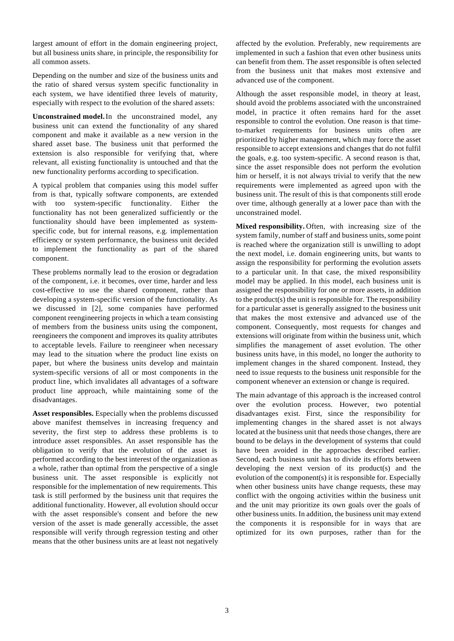largest amount of effort in the domain engineering project, but all business units share, in principle, the responsibility for all common assets.

Depending on the number and size of the business units and the ratio of shared versus system specific functionality in each system, we have identified three levels of maturity, especially with respect to the evolution of the shared assets:

**Unconstrained model.** In the unconstrained model, any business unit can extend the functionality of any shared component and make it available as a new version in the shared asset base. The business unit that performed the extension is also responsible for verifying that, where relevant, all existing functionality is untouched and that the new functionality performs according to specification.

A typical problem that companies using this model suffer from is that, typically software components, are extended with too system-specific functionality. Either the functionality has not been generalized sufficiently or the functionality should have been implemented as systemspecific code, but for internal reasons, e.g. implementation efficiency or system performance, the business unit decided to implement the functionality as part of the shared component.

These problems normally lead to the erosion or degradation of the component, i.e. it becomes, over time, harder and less cost-effective to use the shared component, rather than developing a system-specific version of the functionality. As we discussed in [2], some companies have performed component reengineering projects in which a team consisting of members from the business units using the component, reengineers the component and improves its quality attributes to acceptable levels. Failure to reengineer when necessary may lead to the situation where the product line exists on paper, but where the business units develop and maintain system-specific versions of all or most components in the product line, which invalidates all advantages of a software product line approach, while maintaining some of the disadvantages.

**Asset responsibles.** Especially when the problems discussed above manifest themselves in increasing frequency and severity, the first step to address these problems is to introduce asset responsibles. An asset responsible has the obligation to verify that the evolution of the asset is performed according to the best interest of the organization as a whole, rather than optimal from the perspective of a single business unit. The asset responsible is explicitly not responsible for the implementation of new requirements. This task is still performed by the business unit that requires the additional functionality. However, all evolution should occur with the asset responsible's consent and before the new version of the asset is made generally accessible, the asset responsible will verify through regression testing and other means that the other business units are at least not negatively affected by the evolution. Preferably, new requirements are implemented in such a fashion that even other business units can benefit from them. The asset responsible is often selected from the business unit that makes most extensive and advanced use of the component.

Although the asset responsible model, in theory at least, should avoid the problems associated with the unconstrained model, in practice it often remains hard for the asset responsible to control the evolution. One reason is that timeto-market requirements for business units often are prioritized by higher management, which may force the asset responsible to accept extensions and changes that do not fulfil the goals, e.g. too system-specific. A second reason is that, since the asset responsible does not perform the evolution him or herself, it is not always trivial to verify that the new requirements were implemented as agreed upon with the business unit. The result of this is that components still erode over time, although generally at a lower pace than with the unconstrained model.

Mixed responsibility. Often, with increasing size of the system family, number of staff and business units, some point is reached where the organization still is unwilling to adopt the next model, i.e. domain engineering units, but wants to assign the responsibility for performing the evolution assets to a particular unit. In that case, the mixed responsibility model may be applied. In this model, each business unit is assigned the responsibility for one or more assets, in addition to the product $(s)$  the unit is responsible for. The responsibility for a particular asset is generally assigned to the business unit that makes the most extensive and advanced use of the component. Consequently, most requests for changes and extensions will originate from within the business unit, which simplifies the management of asset evolution. The other business units have, in this model, no longer the authority to implement changes in the shared component. Instead, they need to issue requests to the business unit responsible for the component whenever an extension or change is required.

The main advantage of this approach is the increased control over the evolution process. However, two potential disadvantages exist. First, since the responsibility for implementing changes in the shared asset is not always located at the business unit that needs those changes, there are bound to be delays in the development of systems that could have been avoided in the approaches described earlier. Second, each business unit has to divide its efforts between developing the next version of its product(s) and the evolution of the component(s) it is responsible for. Especially when other business units have change requests, these may conflict with the ongoing activities within the business unit and the unit may prioritize its own goals over the goals of other business units. In addition, the business unit may extend the components it is responsible for in ways that are optimized for its own purposes, rather than for the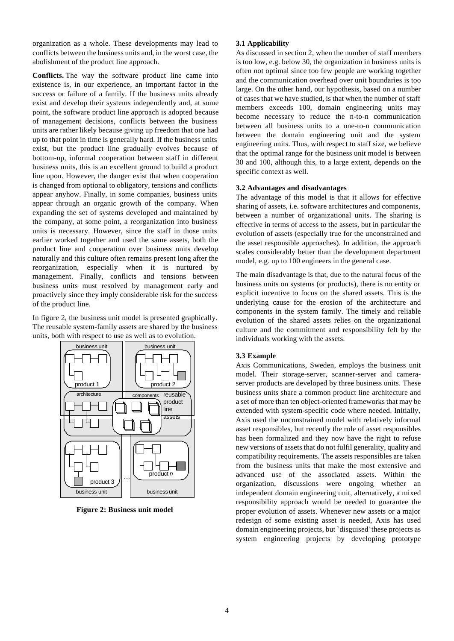organization as a whole. These developments may lead to conflicts between the business units and, in the worst case, the abolishment of the product line approach.

**Conflicts.** The way the software product line came into existence is, in our experience, an important factor in the success or failure of a family. If the business units already exist and develop their systems independently and, at some point, the software product line approach is adopted because of management decisions, conflicts between the business units are rather likely because giving up freedom that one had up to that point in time is generally hard. If the business units exist, but the product line gradually evolves because of bottom-up, informal cooperation between staff in different business units, this is an excellent ground to build a product line upon. However, the danger exist that when cooperation is changed from optional to obligatory, tensions and conflicts appear anyhow. Finally, in some companies, business units appear through an organic growth of the company. When expanding the set of systems developed and maintained by the company, at some point, a reorganization into business units is necessary. However, since the staff in those units earlier worked together and used the same assets, both the product line and cooperation over business units develop naturally and this culture often remains present long after the reorganization, especially when it is nurtured by management. Finally, conflicts and tensions between business units must resolved by management early and proactively since they imply considerable risk for the success of the product line.

In figure 2, the business unit model is presented graphically. The reusable system-family assets are shared by the business units, both with respect to use as well as to evolution.



**Figure 2: Business unit model**

#### **3.1 Applicability**

As discussed in section 2, when the number of staff members is too low, e.g. below 30, the organization in business units is often not optimal since too few people are working together and the communication overhead over unit boundaries is too large. On the other hand, our hypothesis, based on a number of cases that we have studied, is that when the number of staff members exceeds 100, domain engineering units may become necessary to reduce the n-to-n communication between all business units to a one-to-n communication between the domain engineering unit and the system engineering units. Thus, with respect to staff size, we believe that the optimal range for the business unit model is between 30 and 100, although this, to a large extent, depends on the specific context as well.

## **3.2 Advantages and disadvantages**

The advantage of this model is that it allows for effective sharing of assets, i.e. software architectures and components, between a number of organizational units. The sharing is effective in terms of access to the assets, but in particular the evolution of assets (especially true for the unconstrained and the asset responsible approaches). In addition, the approach scales considerably better than the development department model, e.g. up to 100 engineers in the general case.

The main disadvantage is that, due to the natural focus of the business units on systems (or products), there is no entity or explicit incentive to focus on the shared assets. This is the underlying cause for the erosion of the architecture and components in the system family. The timely and reliable evolution of the shared assets relies on the organizational culture and the commitment and responsibility felt by the individuals working with the assets.

#### **3.3 Example**

Axis Communications, Sweden, employs the business unit model. Their storage-server, scanner-server and cameraserver products are developed by three business units. These business units share a common product line architecture and a set of more than ten object-oriented frameworks that may be extended with system-specific code where needed. Initially, Axis used the unconstrained model with relatively informal asset responsibles, but recently the role of asset responsibles has been formalized and they now have the right to refuse new versions of assets that do not fulfil generality, quality and compatibility requirements. The assets responsibles are taken from the business units that make the most extensive and advanced use of the associated assets. Within the organization, discussions were ongoing whether an independent domain engineering unit, alternatively, a mixed responsibility approach would be needed to guarantee the proper evolution of assets. Whenever new assets or a major redesign of some existing asset is needed, Axis has used domain engineering projects, but `disguised' these projects as system engineering projects by developing prototype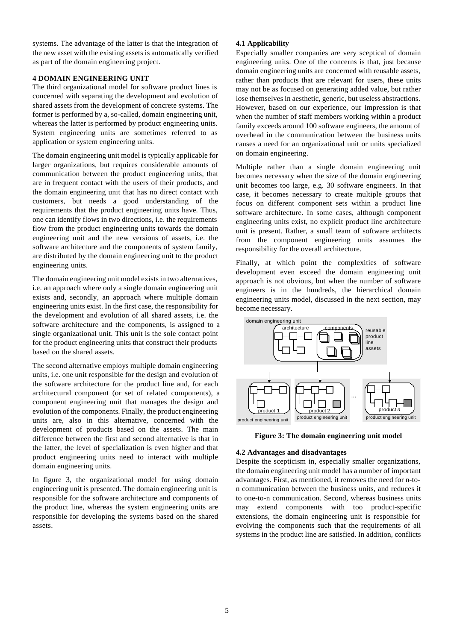systems. The advantage of the latter is that the integration of the new asset with the existing assets is automatically verified as part of the domain engineering project.

### **4 DOMAIN ENGINEERING UNIT**

The third organizational model for software product lines is concerned with separating the development and evolution of shared assets from the development of concrete systems. The former is performed by a, so-called, domain engineering unit, whereas the latter is performed by product engineering units. System engineering units are sometimes referred to as application or system engineering units.

The domain engineering unit model is typically applicable for larger organizations, but requires considerable amounts of communication between the product engineering units, that are in frequent contact with the users of their products, and the domain engineering unit that has no direct contact with customers, but needs a good understanding of the requirements that the product engineering units have. Thus, one can identify flows in two directions, i.e. the requirements flow from the product engineering units towards the domain engineering unit and the new versions of assets, i.e. the software architecture and the components of system family, are distributed by the domain engineering unit to the product engineering units.

The domain engineering unit model exists in two alternatives, i.e. an approach where only a single domain engineering unit exists and, secondly, an approach where multiple domain engineering units exist. In the first case, the responsibility for the development and evolution of all shared assets, i.e. the software architecture and the components, is assigned to a single organizational unit. This unit is the sole contact point for the product engineering units that construct their products based on the shared assets.

The second alternative employs multiple domain engineering units, i.e. one unit responsible for the design and evolution of the software architecture for the product line and, for each architectural component (or set of related components), a component engineering unit that manages the design and evolution of the components. Finally, the product engineering units are, also in this alternative, concerned with the development of products based on the assets. The main difference between the first and second alternative is that in the latter, the level of specialization is even higher and that product engineering units need to interact with multiple domain engineering units.

In figure 3, the organizational model for using domain engineering unit is presented. The domain engineering unit is responsible for the software architecture and components of the product line, whereas the system engineering units are responsible for developing the systems based on the shared assets.

# **4.1 Applicability**

Especially smaller companies are very sceptical of domain engineering units. One of the concerns is that, just because domain engineering units are concerned with reusable assets, rather than products that are relevant for users, these units may not be as focused on generating added value, but rather lose themselves in aesthetic, generic, but useless abstractions. However, based on our experience, our impression is that when the number of staff members working within a product family exceeds around 100 software engineers, the amount of overhead in the communication between the business units causes a need for an organizational unit or units specialized on domain engineering.

Multiple rather than a single domain engineering unit becomes necessary when the size of the domain engineering unit becomes too large, e.g. 30 software engineers. In that case, it becomes necessary to create multiple groups that focus on different component sets within a product line software architecture. In some cases, although component engineering units exist, no explicit product line architecture unit is present. Rather, a small team of software architects from the component engineering units assumes the responsibility for the overall architecture.

Finally, at which point the complexities of software development even exceed the domain engineering unit approach is not obvious, but when the number of software engineers is in the hundreds, the hierarchical domain engineering units model, discussed in the next section, may become necessary.



**Figure 3: The domain engineering unit model**

#### **4.2 Advantages and disadvantages**

Despite the scepticism in, especially smaller organizations, the domain engineering unit model has a number of important advantages. First, as mentioned, it removes the need for n-ton communication between the business units, and reduces it to one-to-n communication. Second, whereas business units may extend components with too product-specific extensions, the domain engineering unit is responsible for evolving the components such that the requirements of all systems in the product line are satisfied. In addition, conflicts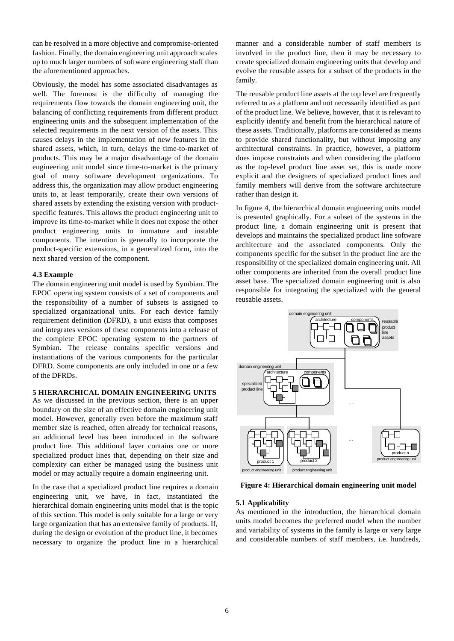can be resolved in a more objective and compromise-oriented fashion. Finally, the domain engineering unit approach scales up to much larger numbers of software engineering staff than the aforementioned approaches.

Obviously, the model has some associated disadvantages as well. The foremost is the difficulty of managing the requirements flow towards the domain engineering unit, the balancing of conflicting requirements from different product engineering units and the subsequent implementation of the selected requirements in the next version of the assets. This causes delays in the implementation of new features in the shared assets, which, in turn, delays the time-to-market of products. This may be a major disadvantage of the domain engineering unit model since time-to-market is the primary goal of many software development organizations. To address this, the organization may allow product engineering units to, at least temporarily, create their own versions of shared assets by extending the existing version with productspecific features. This allows the product engineering unit to improve its time-to-market while it does not expose the other product engineering units to immature and instable components. The intention is generally to incorporate the product-specific extensions, in a generalized form, into the next shared version of the component.

## **4.3 Example**

The domain engineering unit model is used by Symbian. The EPOC operating system consists of a set of components and the responsibility of a number of subsets is assigned to specialized organizational units. For each device family requirement definition (DFRD), a unit exists that composes and integrates versions of these components into a release of the complete EPOC operating system to the partners of Symbian. The release contains specific versions and instantiations of the various components for the particular DFRD. Some components are only included in one or a few of the DFRDs.

#### **5 HIERARCHICAL DOMAIN ENGINEERING UNITS**

As we discussed in the previous section, there is an upper boundary on the size of an effective domain engineering unit model. However, generally even before the maximum staff member size is reached, often already for technical reasons, an additional level has been introduced in the software product line. This additional layer contains one or more specialized product lines that, depending on their size and complexity can either be managed using the business unit model or may actually require a domain engineering unit.

In the case that a specialized product line requires a domain engineering unit, we have, in fact, instantiated the hierarchical domain engineering units model that is the topic of this section. This model is only suitable for a large or very large organization that has an extensive family of products. If, during the design or evolution of the product line, it becomes necessary to organize the product line in a hierarchical manner and a considerable number of staff members is involved in the product line, then it may be necessary to create specialized domain engineering units that develop and evolve the reusable assets for a subset of the products in the family.

The reusable product line assets at the top level are frequently referred to as a platform and not necessarily identified as part of the product line. We believe, however, that it is relevant to explicitly identify and benefit from the hierarchical nature of these assets. Traditionally, platforms are considered as means to provide shared functionality, but without imposing any architectural constraints. In practice, however, a platform does impose constraints and when considering the platform as the top-level product line asset set, this is made more explicit and the designers of specialized product lines and family members will derive from the software architecture rather than design it.

In figure 4, the hierarchical domain engineering units model is presented graphically. For a subset of the systems in the product line, a domain engineering unit is present that develops and maintains the specialized product line software architecture and the associated components. Only the components specific for the subset in the product line are the responsibility of the specialized domain engineering unit. All other components are inherited from the overall product line asset base. The specialized domain engineering unit is also responsible for integrating the specialized with the general reusable assets.



**Figure 4: Hierarchical domain engineering unit model**

#### **5.1 Applicability**

As mentioned in the introduction, the hierarchical domain units model becomes the preferred model when the number and variability of systems in the family is large or very large and considerable numbers of staff members, i.e. hundreds,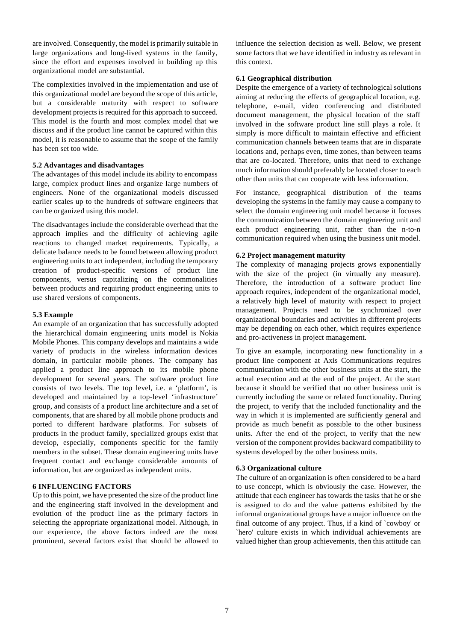are involved. Consequently, the model is primarily suitable in large organizations and long-lived systems in the family, since the effort and expenses involved in building up this organizational model are substantial.

The complexities involved in the implementation and use of this organizational model are beyond the scope of this article, but a considerable maturity with respect to software development projects is required for this approach to succeed. This model is the fourth and most complex model that we discuss and if the product line cannot be captured within this model, it is reasonable to assume that the scope of the family has been set too wide.

# **5.2 Advantages and disadvantages**

The advantages of this model include its ability to encompass large, complex product lines and organize large numbers of engineers. None of the organizational models discussed earlier scales up to the hundreds of software engineers that can be organized using this model.

The disadvantages include the considerable overhead that the approach implies and the difficulty of achieving agile reactions to changed market requirements. Typically, a delicate balance needs to be found between allowing product engineering units to act independent, including the temporary creation of product-specific versions of product line components, versus capitalizing on the commonalities between products and requiring product engineering units to use shared versions of components.

#### **5.3 Example**

An example of an organization that has successfully adopted the hierarchical domain engineering units model is Nokia Mobile Phones. This company develops and maintains a wide variety of products in the wireless information devices domain, in particular mobile phones. The company has applied a product line approach to its mobile phone development for several years. The software product line consists of two levels. The top level, i.e. a 'platform', is developed and maintained by a top-level 'infrastructure' group, and consists of a product line architecture and a set of components, that are shared by all mobile phone products and ported to different hardware platforms. For subsets of products in the product family, specialized groups exist that develop, especially, components specific for the family members in the subset. These domain engineering units have frequent contact and exchange considerable amounts of information, but are organized as independent units.

#### **6 INFLUENCING FACTORS**

Up to this point, we have presented the size of the product line and the engineering staff involved in the development and evolution of the product line as the primary factors in selecting the appropriate organizational model. Although, in our experience, the above factors indeed are the most prominent, several factors exist that should be allowed to influence the selection decision as well. Below, we present some factors that we have identified in industry as relevant in this context.

#### **6.1 Geographical distribution**

Despite the emergence of a variety of technological solutions aiming at reducing the effects of geographical location, e.g. telephone, e-mail, video conferencing and distributed document management, the physical location of the staff involved in the software product line still plays a role. It simply is more difficult to maintain effective and efficient communication channels between teams that are in disparate locations and, perhaps even, time zones, than between teams that are co-located. Therefore, units that need to exchange much information should preferably be located closer to each other than units that can cooperate with less information.

For instance, geographical distribution of the teams developing the systems in the family may cause a company to select the domain engineering unit model because it focuses the communication between the domain engineering unit and each product engineering unit, rather than the n-to-n communication required when using the business unit model.

#### **6.2 Project management maturity**

The complexity of managing projects grows exponentially with the size of the project (in virtually any measure). Therefore, the introduction of a software product line approach requires, independent of the organizational model, a relatively high level of maturity with respect to project management. Projects need to be synchronized over organizational boundaries and activities in different projects may be depending on each other, which requires experience and pro-activeness in project management.

To give an example, incorporating new functionality in a product line component at Axis Communications requires communication with the other business units at the start, the actual execution and at the end of the project. At the start because it should be verified that no other business unit is currently including the same or related functionality. During the project, to verify that the included functionality and the way in which it is implemented are sufficiently general and provide as much benefit as possible to the other business units. After the end of the project, to verify that the new version of the component provides backward compatibility to systems developed by the other business units.

## **6.3 Organizational culture**

The culture of an organization is often considered to be a hard to use concept, which is obviously the case. However, the attitude that each engineer has towards the tasks that he or she is assigned to do and the value patterns exhibited by the informal organizational groups have a major influence on the final outcome of any project. Thus, if a kind of `cowboy' or `hero' culture exists in which individual achievements are valued higher than group achievements, then this attitude can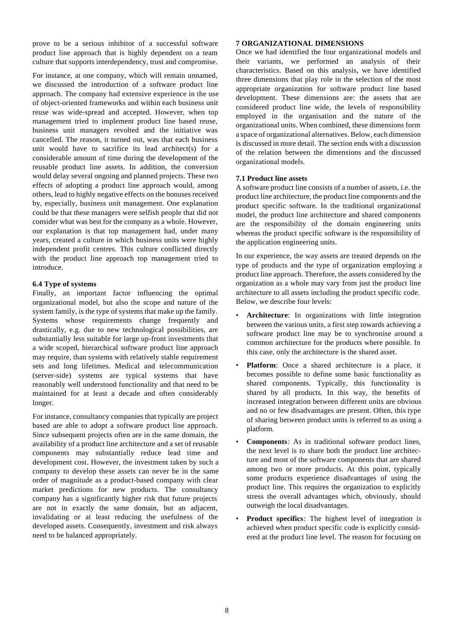prove to be a serious inhibitor of a successful software product line approach that is highly dependent on a team culture that supports interdependency, trust and compromise.

For instance, at one company, which will remain unnamed, we discussed the introduction of a software product line approach. The company had extensive experience in the use of object-oriented frameworks and within each business unit reuse was wide-spread and accepted. However, when top management tried to implement product line based reuse, business unit managers revolted and the initiative was cancelled. The reason, it turned out, was that each business unit would have to sacrifice its lead architect(s) for a considerable amount of time during the development of the reusable product line assets. In addition, the conversion would delay several ongoing and planned projects. These two effects of adopting a product line approach would, among others, lead to highly negative effects on the bonuses received by, especially, business unit management. One explanation could be that these managers were selfish people that did not consider what was best for the company as a whole. However, our explanation is that top management had, under many years, created a culture in which business units were highly independent profit centres. This culture conflicted directly with the product line approach top management tried to introduce.

#### **6.4 Type of systems**

Finally, an important factor influencing the optimal organizational model, but also the scope and nature of the system family, is the type of systems that make up the family. Systems whose requirements change frequently and drastically, e.g. due to new technological possibilities, are substantially less suitable for large up-front investments that a wide scoped, hierarchical software product line approach may require, than systems with relatively stable requirement sets and long lifetimes. Medical and telecommunication (server-side) systems are typical systems that have reasonably well understood functionality and that need to be maintained for at least a decade and often considerably longer.

For instance, consultancy companies that typically are project based are able to adopt a software product line approach. Since subsequent projects often are in the same domain, the availability of a product line architecture and a set of reusable components may substantially reduce lead time and development cost. However, the investment taken by such a company to develop these assets can never be in the same order of magnitude as a product-based company with clear market predictions for new products. The consultancy company has a significantly higher risk that future projects are not in exactly the same domain, but an adjacent, invalidating or at least reducing the usefulness of the developed assets. Consequently, investment and risk always need to be balanced appropriately.

#### **7 ORGANIZATIONAL DIMENSIONS**

Once we had identified the four organizational models and their variants, we performed an analysis of their characteristics. Based on this analysis, we have identified three dimensions that play role in the selection of the most appropriate organization for software product line based development. These dimensions are: the assets that are considered product line wide, the levels of responsibility employed in the organisation and the nature of the organizational units. When combined, these dimensions form a space of organizational alternatives. Below, each dimension is discussed in more detail. The section ends with a discussion of the relation between the dimensions and the discussed organizational models.

#### **7.1 Product line assets**

A software product line consists of a number of assets, i.e. the product line architecture, the product line components and the product specific software. In the traditional organizational model, the product line architecture and shared components are the responsibility of the domain engineering units whereas the product specific software is the responsibility of the application engineering units.

In our experience, the way assets are treated depends on the type of products and the type of organization employing a product line approach. Therefore, the assets considered by the organization as a whole may vary from just the product line architecture to all assets including the product specific code. Below, we describe four levels:

- Architecture: In organizations with little integration between the various units, a first step towards achieving a software product line may be to synchronise around a common architecture for the products where possible. In this case, only the architecture is the shared asset.
- **Platform**: Once a shared architecture is a place, it becomes possible to define some basic functionality as shared components. Typically, this functionality is shared by all products. In this way, the benefits of increased integration between different units are obvious and no or few disadvantages are present. Often, this type of sharing between product units is referred to as using a platform.
- **Components**: As in traditional software product lines, the next level is to share both the product line architecture and most of the software components that are shared among two or more products. At this point, typically some products experience disadvantages of using the product line. This requires the organization to explicitly stress the overall advantages which, obviously, should outweigh the local disadvantages.
- **Product specifics**: The highest level of integration is achieved when product specific code is explicitly considered at the product line level. The reason for focusing on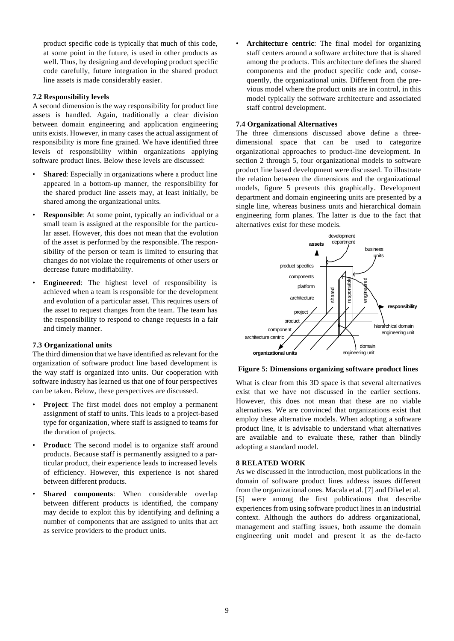product specific code is typically that much of this code, at some point in the future, is used in other products as well. Thus, by designing and developing product specific code carefully, future integration in the shared product line assets is made considerably easier.

#### **7.2 Responsibility levels**

A second dimension is the way responsibility for product line assets is handled. Again, traditionally a clear division between domain engineering and application engineering units exists. However, in many cases the actual assignment of responsibility is more fine grained. We have identified three levels of responsibility within organizations applying software product lines. Below these levels are discussed:

- **Shared:** Especially in organizations where a product line appeared in a bottom-up manner, the responsibility for the shared product line assets may, at least initially, be shared among the organizational units.
- **Responsible**: At some point, typically an individual or a small team is assigned at the responsible for the particular asset. However, this does not mean that the evolution of the asset is performed by the responsible. The responsibility of the person or team is limited to ensuring that changes do not violate the requirements of other users or decrease future modifiability.
- **Engineered**: The highest level of responsibility is achieved when a team is responsible for the development and evolution of a particular asset. This requires users of the asset to request changes from the team. The team has the responsibility to respond to change requests in a fair and timely manner.

#### **7.3 Organizational units**

The third dimension that we have identified as relevant for the organization of software product line based development is the way staff is organized into units. Our cooperation with software industry has learned us that one of four perspectives can be taken. Below, these perspectives are discussed.

- **Project:** The first model does not employ a permanent assignment of staff to units. This leads to a project-based type for organization, where staff is assigned to teams for the duration of projects.
- Product: The second model is to organize staff around products. Because staff is permanently assigned to a particular product, their experience leads to increased levels of efficiency. However, this experience is not shared between different products.
- **Shared components:** When considerable overlap between different products is identified, the company may decide to exploit this by identifying and defining a number of components that are assigned to units that act as service providers to the product units.

• **Architecture centric**: The final model for organizing staff centers around a software architecture that is shared among the products. This architecture defines the shared components and the product specific code and, consequently, the organizational units. Different from the previous model where the product units are in control, in this model typically the software architecture and associated staff control development.

#### **7.4 Organizational Alternatives**

The three dimensions discussed above define a threedimensional space that can be used to categorize organizational approaches to product-line development. In section 2 through 5, four organizational models to software product line based development were discussed. To illustrate the relation between the dimensions and the organizational models, figure 5 presents this graphically. Development department and domain engineering units are presented by a single line, whereas business units and hierarchical domain engineering form planes. The latter is due to the fact that alternatives exist for these models.



#### **Figure 5: Dimensions organizing software product lines**

What is clear from this 3D space is that several alternatives exist that we have not discussed in the earlier sections. However, this does not mean that these are no viable alternatives. We are convinced that organizations exist that employ these alternative models. When adopting a software product line, it is advisable to understand what alternatives are available and to evaluate these, rather than blindly adopting a standard model.

#### **8 RELATED WORK**

As we discussed in the introduction, most publications in the domain of software product lines address issues different from the organizational ones. Macala et al. [7] and Dikel et al. [5] were among the first publications that describe experiences from using software product lines in an industrial context. Although the authors do address organizational, management and staffing issues, both assume the domain engineering unit model and present it as the de-facto